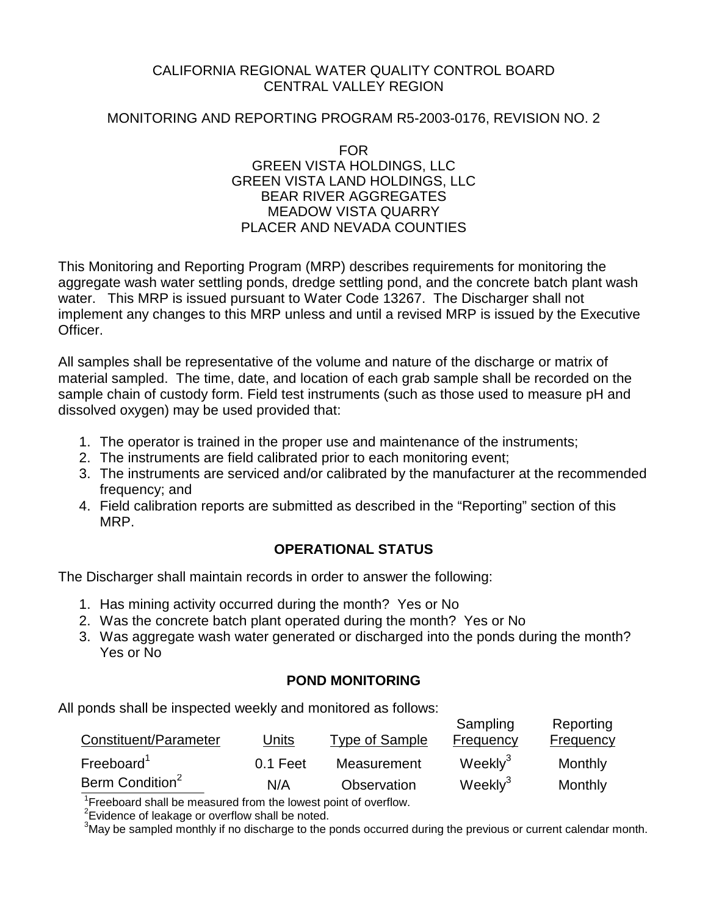#### CALIFORNIA REGIONAL WATER QUALITY CONTROL BOARD CENTRAL VALLEY REGION

### MONITORING AND REPORTING PROGRAM R5-2003-0176, REVISION NO. 2

#### FOR GREEN VISTA HOLDINGS, LLC GREEN VISTA LAND HOLDINGS, LLC BEAR RIVER AGGREGATES MEADOW VISTA QUARRY PLACER AND NEVADA COUNTIES

This Monitoring and Reporting Program (MRP) describes requirements for monitoring the aggregate wash water settling ponds, dredge settling pond, and the concrete batch plant wash water. This MRP is issued pursuant to Water Code 13267. The Discharger shall not implement any changes to this MRP unless and until a revised MRP is issued by the Executive Officer.

All samples shall be representative of the volume and nature of the discharge or matrix of material sampled. The time, date, and location of each grab sample shall be recorded on the sample chain of custody form. Field test instruments (such as those used to measure pH and dissolved oxygen) may be used provided that:

- 1. The operator is trained in the proper use and maintenance of the instruments;
- 2. The instruments are field calibrated prior to each monitoring event;
- 3. The instruments are serviced and/or calibrated by the manufacturer at the recommended frequency; and
- 4. Field calibration reports are submitted as described in the "Reporting" section of this MRP.

## **OPERATIONAL STATUS**

The Discharger shall maintain records in order to answer the following:

- 1. Has mining activity occurred during the month? Yes or No
- 2. Was the concrete batch plant operated during the month? Yes or No
- 3. Was aggregate wash water generated or discharged into the ponds during the month? Yes or No

## **POND MONITORING**

All ponds shall be inspected weekly and monitored as follows:

| Constituent/Parameter       | Units    | Type of Sample | Sampling<br>Frequency | Reporting<br><b>Frequency</b> |
|-----------------------------|----------|----------------|-----------------------|-------------------------------|
| Freeboard <sup>1</sup>      | 0.1 Feet | Measurement    | Weekly <sup>3</sup>   | Monthly                       |
| Berm Condition <sup>2</sup> | N/A      | Observation    | Weekly <sup>3</sup>   | Monthly                       |

 $1$ Freeboard shall be measured from the lowest point of overflow.

 $2$ Evidence of leakage or overflow shall be noted.

 $3$ May be sampled monthly if no discharge to the ponds occurred during the previous or current calendar month.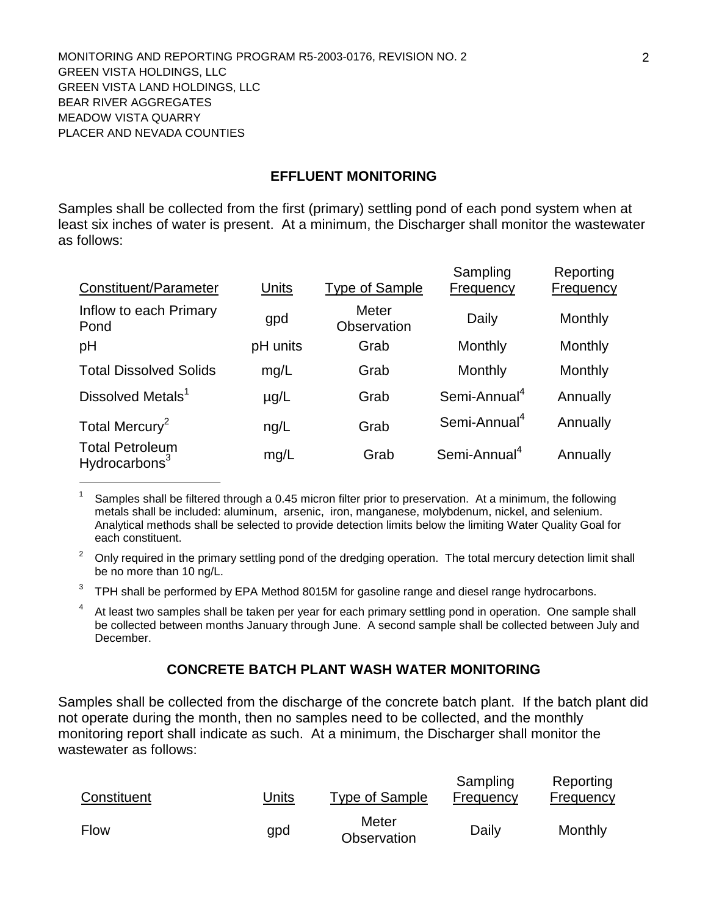### **EFFLUENT MONITORING**

Samples shall be collected from the first (primary) settling pond of each pond system when at least six inches of water is present. At a minimum, the Discharger shall monitor the wastewater as follows:

| Constituent/Parameter                               | Units     | <b>Type of Sample</b>       | Sampling<br>Frequency    | Reporting<br>Frequency |
|-----------------------------------------------------|-----------|-----------------------------|--------------------------|------------------------|
| Inflow to each Primary<br>Pond                      | gpd       | <b>Meter</b><br>Observation | Daily                    | Monthly                |
| pH                                                  | pH units  | Grab                        | Monthly                  | Monthly                |
| <b>Total Dissolved Solids</b>                       | mg/L      | Grab                        | Monthly                  | Monthly                |
| Dissolved Metals <sup>1</sup>                       | $\mu$ g/L | Grab                        | Semi-Annual <sup>4</sup> | Annually               |
| Total Mercury <sup>2</sup>                          | ng/L      | Grab                        | Semi-Annual <sup>4</sup> | Annually               |
| <b>Total Petroleum</b><br>Hydrocarbons <sup>3</sup> | mg/L      | Grab                        | Semi-Annual <sup>4</sup> | Annually               |

Samples shall be filtered through a 0.45 micron filter prior to preservation. At a minimum, the following metals shall be included: aluminum, arsenic, iron, manganese, molybdenum, nickel, and selenium. Analytical methods shall be selected to provide detection limits below the limiting Water Quality Goal for each constituent.

 $2^{\circ}$  Only required in the primary settling pond of the dredging operation. The total mercury detection limit shall be no more than 10 ng/L.

 $3$  TPH shall be performed by EPA Method 8015M for gasoline range and diesel range hydrocarbons.

<sup>4</sup> At least two samples shall be taken per year for each primary settling pond in operation. One sample shall be collected between months January through June. A second sample shall be collected between July and December.

## **CONCRETE BATCH PLANT WASH WATER MONITORING**

Samples shall be collected from the discharge of the concrete batch plant. If the batch plant did not operate during the month, then no samples need to be collected, and the monthly monitoring report shall indicate as such. At a minimum, the Discharger shall monitor the wastewater as follows:

| Constituent | <u>Units</u> | Type of Sample       | Sampling<br>Frequency | Reporting<br>Frequency |
|-------------|--------------|----------------------|-----------------------|------------------------|
| Flow        | gpd          | Meter<br>Observation | Daily                 | Monthly                |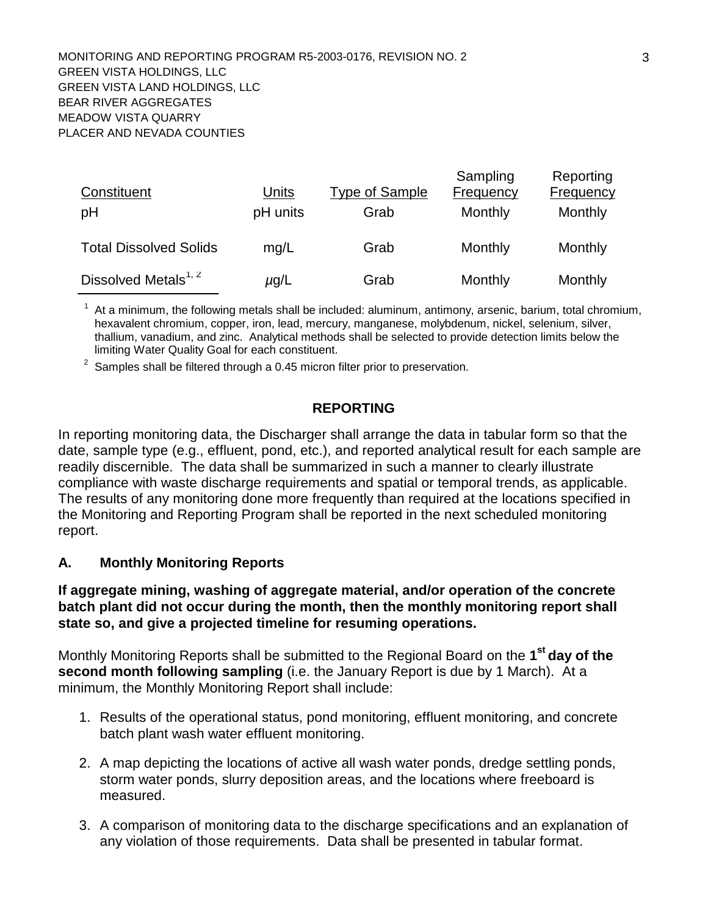| Constituent<br>рH                | <b>Units</b><br>pH units | <b>Type of Sample</b><br>Grab | Sampling<br><b>Frequency</b><br>Monthly | Reporting<br><b>Frequency</b><br>Monthly |
|----------------------------------|--------------------------|-------------------------------|-----------------------------------------|------------------------------------------|
| <b>Total Dissolved Solids</b>    | mg/L                     | Grab                          | Monthly                                 | Monthly                                  |
| Dissolved Metals <sup>1, 2</sup> | $\mu$ g/L                | Grab                          | Monthly                                 | Monthly                                  |

 $1$  At a minimum, the following metals shall be included: aluminum, antimony, arsenic, barium, total chromium, hexavalent chromium, copper, iron, lead, mercury, manganese, molybdenum, nickel, selenium, silver, thallium, vanadium, and zinc. Analytical methods shall be selected to provide detection limits below the limiting Water Quality Goal for each constituent.

 $2\degree$  Samples shall be filtered through a 0.45 micron filter prior to preservation.

### **REPORTING**

In reporting monitoring data, the Discharger shall arrange the data in tabular form so that the date, sample type (e.g., effluent, pond, etc.), and reported analytical result for each sample are readily discernible. The data shall be summarized in such a manner to clearly illustrate compliance with waste discharge requirements and spatial or temporal trends, as applicable. The results of any monitoring done more frequently than required at the locations specified in the Monitoring and Reporting Program shall be reported in the next scheduled monitoring report.

## **A. Monthly Monitoring Reports**

#### **If aggregate mining, washing of aggregate material, and/or operation of the concrete batch plant did not occur during the month, then the monthly monitoring report shall state so, and give a projected timeline for resuming operations.**

Monthly Monitoring Reports shall be submitted to the Regional Board on the **1st day of the second month following sampling** (i.e. the January Report is due by 1 March). At a minimum, the Monthly Monitoring Report shall include:

- 1. Results of the operational status, pond monitoring, effluent monitoring, and concrete batch plant wash water effluent monitoring.
- 2. A map depicting the locations of active all wash water ponds, dredge settling ponds, storm water ponds, slurry deposition areas, and the locations where freeboard is measured.
- 3. A comparison of monitoring data to the discharge specifications and an explanation of any violation of those requirements. Data shall be presented in tabular format.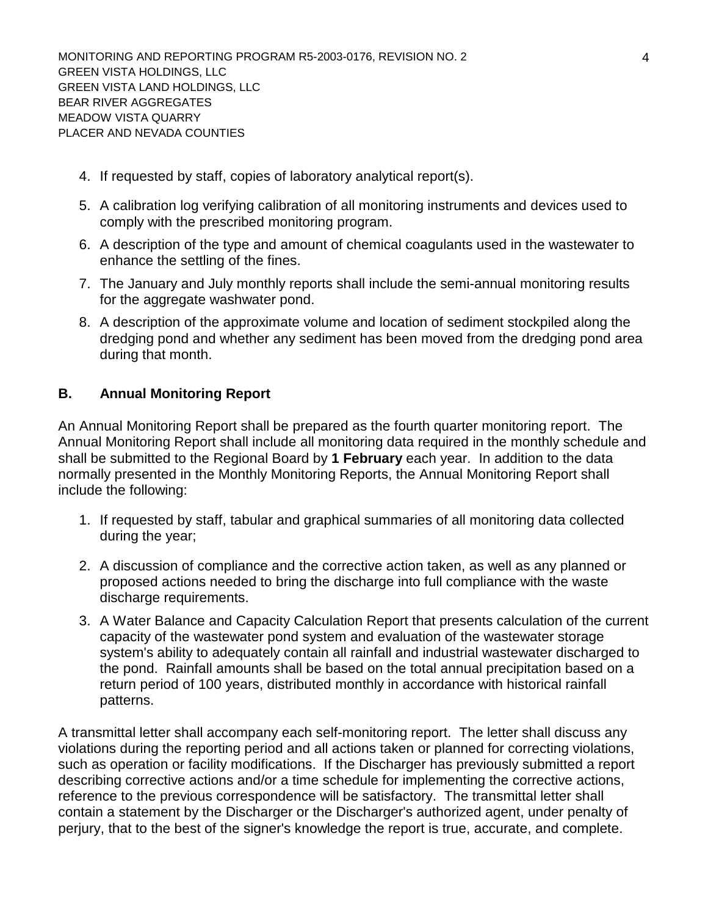- 4. If requested by staff, copies of laboratory analytical report(s).
- 5. A calibration log verifying calibration of all monitoring instruments and devices used to comply with the prescribed monitoring program.
- 6. A description of the type and amount of chemical coagulants used in the wastewater to enhance the settling of the fines.
- 7. The January and July monthly reports shall include the semi-annual monitoring results for the aggregate washwater pond.
- 8. A description of the approximate volume and location of sediment stockpiled along the dredging pond and whether any sediment has been moved from the dredging pond area during that month.

# **B. Annual Monitoring Report**

An Annual Monitoring Report shall be prepared as the fourth quarter monitoring report. The Annual Monitoring Report shall include all monitoring data required in the monthly schedule and shall be submitted to the Regional Board by **1 February** each year. In addition to the data normally presented in the Monthly Monitoring Reports, the Annual Monitoring Report shall include the following:

- 1. If requested by staff, tabular and graphical summaries of all monitoring data collected during the year;
- 2. A discussion of compliance and the corrective action taken, as well as any planned or proposed actions needed to bring the discharge into full compliance with the waste discharge requirements.
- 3. A Water Balance and Capacity Calculation Report that presents calculation of the current capacity of the wastewater pond system and evaluation of the wastewater storage system's ability to adequately contain all rainfall and industrial wastewater discharged to the pond. Rainfall amounts shall be based on the total annual precipitation based on a return period of 100 years, distributed monthly in accordance with historical rainfall patterns.

A transmittal letter shall accompany each self-monitoring report. The letter shall discuss any violations during the reporting period and all actions taken or planned for correcting violations, such as operation or facility modifications. If the Discharger has previously submitted a report describing corrective actions and/or a time schedule for implementing the corrective actions, reference to the previous correspondence will be satisfactory. The transmittal letter shall contain a statement by the Discharger or the Discharger's authorized agent, under penalty of perjury, that to the best of the signer's knowledge the report is true, accurate, and complete.